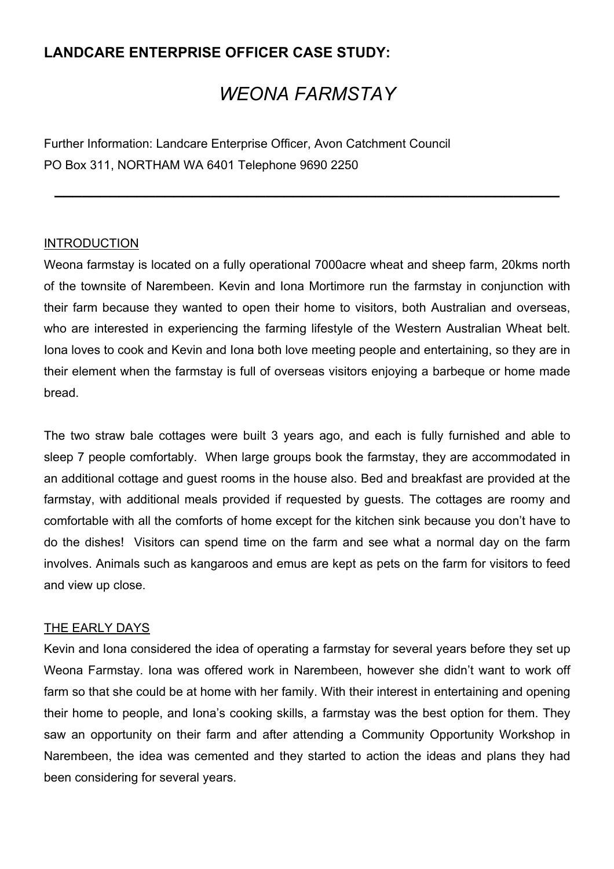# **LANDCARE ENTERPRISE OFFICER CASE STUDY:**

# *WEONA FARMSTAY*

**\_\_\_\_\_\_\_\_\_\_\_\_\_\_\_\_\_\_\_\_\_\_\_\_\_\_\_\_\_\_\_\_\_\_\_\_\_\_\_\_\_\_\_\_\_\_\_\_\_\_\_\_\_\_\_**

Further Information: Landcare Enterprise Officer, Avon Catchment Council PO Box 311, NORTHAM WA 6401 Telephone 9690 2250

#### INTRODUCTION

Weona farmstay is located on a fully operational 7000acre wheat and sheep farm, 20kms north of the townsite of Narembeen. Kevin and Iona Mortimore run the farmstay in conjunction with their farm because they wanted to open their home to visitors, both Australian and overseas, who are interested in experiencing the farming lifestyle of the Western Australian Wheat belt. Iona loves to cook and Kevin and Iona both love meeting people and entertaining, so they are in their element when the farmstay is full of overseas visitors enjoying a barbeque or home made bread.

The two straw bale cottages were built 3 years ago, and each is fully furnished and able to sleep 7 people comfortably. When large groups book the farmstay, they are accommodated in an additional cottage and guest rooms in the house also. Bed and breakfast are provided at the farmstay, with additional meals provided if requested by guests. The cottages are roomy and comfortable with all the comforts of home except for the kitchen sink because you don't have to do the dishes! Visitors can spend time on the farm and see what a normal day on the farm involves. Animals such as kangaroos and emus are kept as pets on the farm for visitors to feed and view up close.

#### THE EARLY DAYS

Kevin and Iona considered the idea of operating a farmstay for several years before they set up Weona Farmstay. Iona was offered work in Narembeen, however she didn't want to work off farm so that she could be at home with her family. With their interest in entertaining and opening their home to people, and Iona's cooking skills, a farmstay was the best option for them. They saw an opportunity on their farm and after attending a Community Opportunity Workshop in Narembeen, the idea was cemented and they started to action the ideas and plans they had been considering for several years.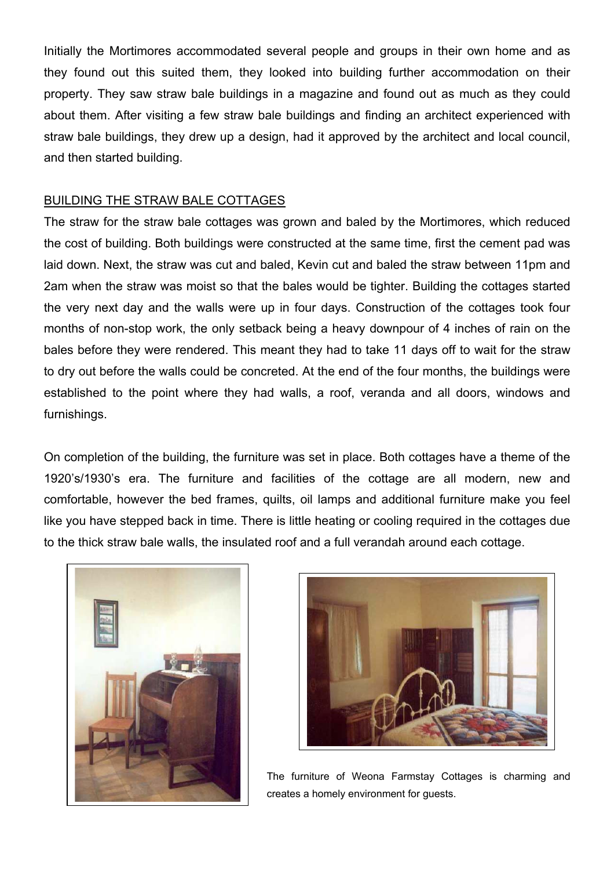Initially the Mortimores accommodated several people and groups in their own home and as they found out this suited them, they looked into building further accommodation on their property. They saw straw bale buildings in a magazine and found out as much as they could about them. After visiting a few straw bale buildings and finding an architect experienced with straw bale buildings, they drew up a design, had it approved by the architect and local council, and then started building.

#### BUILDING THE STRAW BALE COTTAGES

The straw for the straw bale cottages was grown and baled by the Mortimores, which reduced the cost of building. Both buildings were constructed at the same time, first the cement pad was laid down. Next, the straw was cut and baled, Kevin cut and baled the straw between 11pm and 2am when the straw was moist so that the bales would be tighter. Building the cottages started the very next day and the walls were up in four days. Construction of the cottages took four months of non-stop work, the only setback being a heavy downpour of 4 inches of rain on the bales before they were rendered. This meant they had to take 11 days off to wait for the straw to dry out before the walls could be concreted. At the end of the four months, the buildings were established to the point where they had walls, a roof, veranda and all doors, windows and furnishings.

On completion of the building, the furniture was set in place. Both cottages have a theme of the 1920's/1930's era. The furniture and facilities of the cottage are all modern, new and comfortable, however the bed frames, quilts, oil lamps and additional furniture make you feel like you have stepped back in time. There is little heating or cooling required in the cottages due to the thick straw bale walls, the insulated roof and a full verandah around each cottage.





The furniture of Weona Farmstay Cottages is charming and creates a homely environment for guests.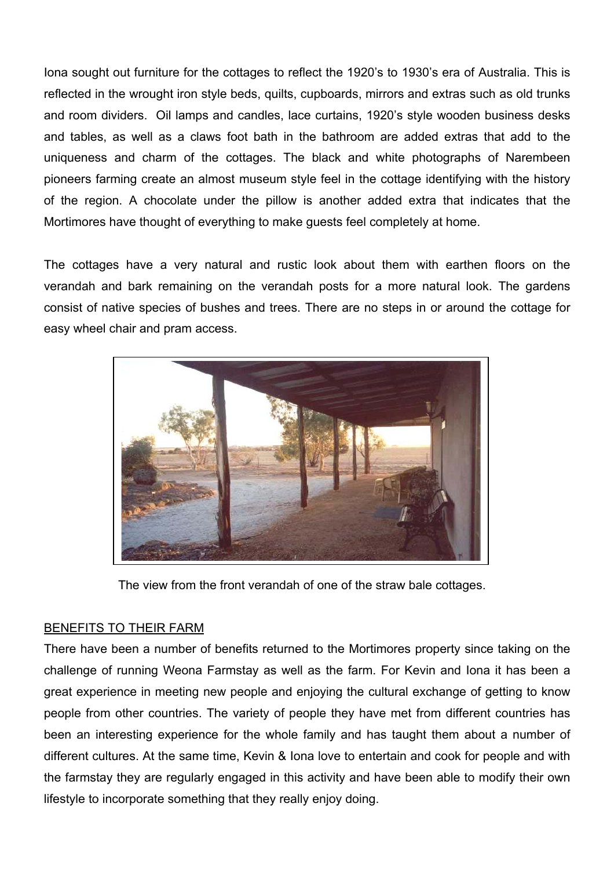Iona sought out furniture for the cottages to reflect the 1920's to 1930's era of Australia. This is reflected in the wrought iron style beds, quilts, cupboards, mirrors and extras such as old trunks and room dividers. Oil lamps and candles, lace curtains, 1920's style wooden business desks and tables, as well as a claws foot bath in the bathroom are added extras that add to the uniqueness and charm of the cottages. The black and white photographs of Narembeen pioneers farming create an almost museum style feel in the cottage identifying with the history of the region. A chocolate under the pillow is another added extra that indicates that the Mortimores have thought of everything to make guests feel completely at home.

The cottages have a very natural and rustic look about them with earthen floors on the verandah and bark remaining on the verandah posts for a more natural look. The gardens consist of native species of bushes and trees. There are no steps in or around the cottage for easy wheel chair and pram access.



The view from the front verandah of one of the straw bale cottages.

## BENEFITS TO THEIR FARM

There have been a number of benefits returned to the Mortimores property since taking on the challenge of running Weona Farmstay as well as the farm. For Kevin and Iona it has been a great experience in meeting new people and enjoying the cultural exchange of getting to know people from other countries. The variety of people they have met from different countries has been an interesting experience for the whole family and has taught them about a number of different cultures. At the same time, Kevin & Iona love to entertain and cook for people and with the farmstay they are regularly engaged in this activity and have been able to modify their own lifestyle to incorporate something that they really enjoy doing.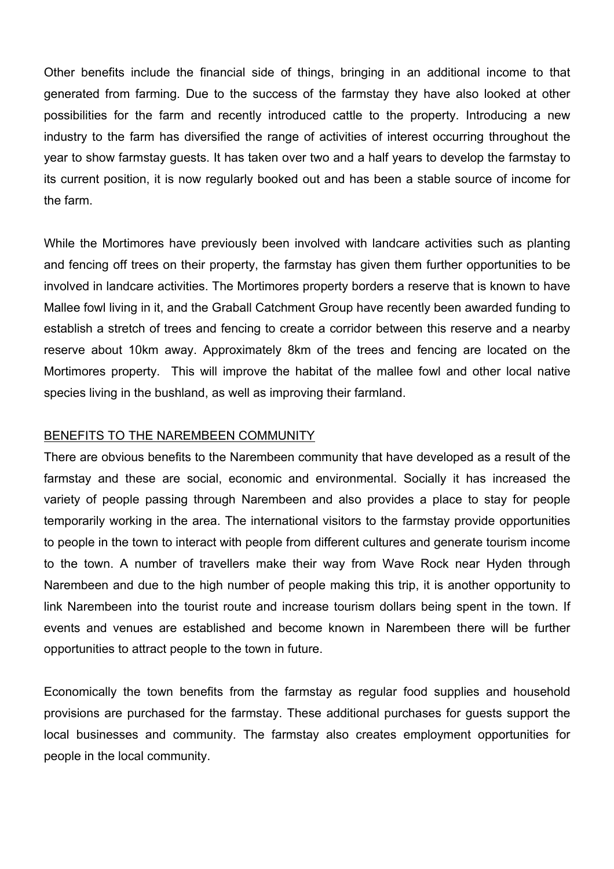Other benefits include the financial side of things, bringing in an additional income to that generated from farming. Due to the success of the farmstay they have also looked at other possibilities for the farm and recently introduced cattle to the property. Introducing a new industry to the farm has diversified the range of activities of interest occurring throughout the year to show farmstay guests. It has taken over two and a half years to develop the farmstay to its current position, it is now regularly booked out and has been a stable source of income for the farm.

While the Mortimores have previously been involved with landcare activities such as planting and fencing off trees on their property, the farmstay has given them further opportunities to be involved in landcare activities. The Mortimores property borders a reserve that is known to have Mallee fowl living in it, and the Graball Catchment Group have recently been awarded funding to establish a stretch of trees and fencing to create a corridor between this reserve and a nearby reserve about 10km away. Approximately 8km of the trees and fencing are located on the Mortimores property. This will improve the habitat of the mallee fowl and other local native species living in the bushland, as well as improving their farmland.

#### BENEFITS TO THE NAREMBEEN COMMUNITY

There are obvious benefits to the Narembeen community that have developed as a result of the farmstay and these are social, economic and environmental. Socially it has increased the variety of people passing through Narembeen and also provides a place to stay for people temporarily working in the area. The international visitors to the farmstay provide opportunities to people in the town to interact with people from different cultures and generate tourism income to the town. A number of travellers make their way from Wave Rock near Hyden through Narembeen and due to the high number of people making this trip, it is another opportunity to link Narembeen into the tourist route and increase tourism dollars being spent in the town. If events and venues are established and become known in Narembeen there will be further opportunities to attract people to the town in future.

Economically the town benefits from the farmstay as regular food supplies and household provisions are purchased for the farmstay. These additional purchases for guests support the local businesses and community. The farmstay also creates employment opportunities for people in the local community.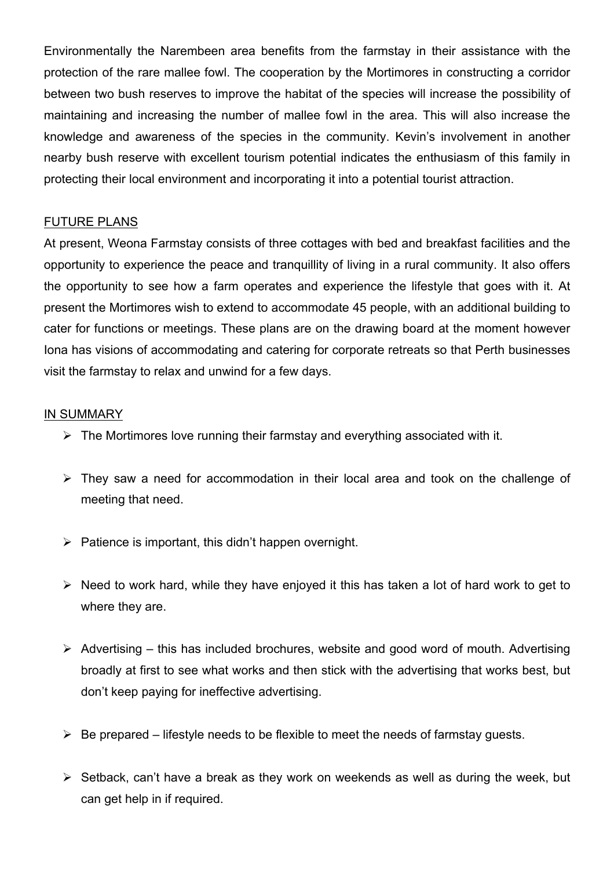Environmentally the Narembeen area benefits from the farmstay in their assistance with the protection of the rare mallee fowl. The cooperation by the Mortimores in constructing a corridor between two bush reserves to improve the habitat of the species will increase the possibility of maintaining and increasing the number of mallee fowl in the area. This will also increase the knowledge and awareness of the species in the community. Kevin's involvement in another nearby bush reserve with excellent tourism potential indicates the enthusiasm of this family in protecting their local environment and incorporating it into a potential tourist attraction.

## FUTURE PLANS

At present, Weona Farmstay consists of three cottages with bed and breakfast facilities and the opportunity to experience the peace and tranquillity of living in a rural community. It also offers the opportunity to see how a farm operates and experience the lifestyle that goes with it. At present the Mortimores wish to extend to accommodate 45 people, with an additional building to cater for functions or meetings. These plans are on the drawing board at the moment however Iona has visions of accommodating and catering for corporate retreats so that Perth businesses visit the farmstay to relax and unwind for a few days.

#### IN SUMMARY

- $\triangleright$  The Mortimores love running their farmstav and everything associated with it.
- $\triangleright$  They saw a need for accommodation in their local area and took on the challenge of meeting that need.
- $\triangleright$  Patience is important, this didn't happen overnight.
- $\triangleright$  Need to work hard, while they have enjoyed it this has taken a lot of hard work to get to where they are.
- $\triangleright$  Advertising this has included brochures, website and good word of mouth. Advertising broadly at first to see what works and then stick with the advertising that works best, but don't keep paying for ineffective advertising.
- $\triangleright$  Be prepared lifestyle needs to be flexible to meet the needs of farmstay guests.
- $\triangleright$  Setback, can't have a break as they work on weekends as well as during the week, but can get help in if required.